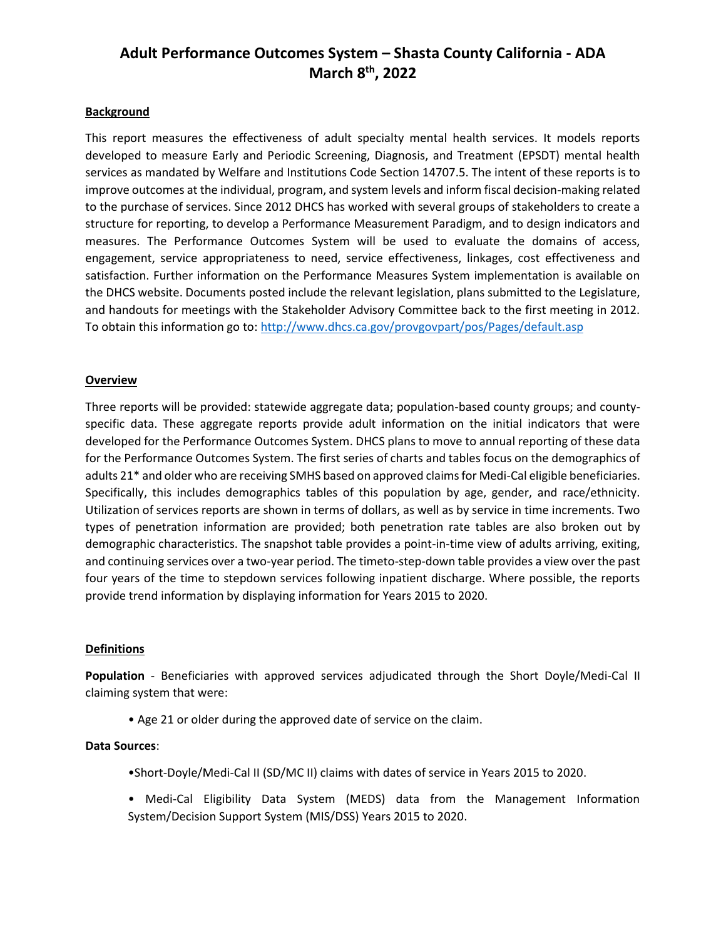### **Background**

This report measures the effectiveness of adult specialty mental health services. It models reports developed to measure Early and Periodic Screening, Diagnosis, and Treatment (EPSDT) mental health services as mandated by Welfare and Institutions Code Section 14707.5. The intent of these reports is to improve outcomes at the individual, program, and system levels and inform fiscal decision-making related to the purchase of services. Since 2012 DHCS has worked with several groups of stakeholders to create a structure for reporting, to develop a Performance Measurement Paradigm, and to design indicators and measures. The Performance Outcomes System will be used to evaluate the domains of access, engagement, service appropriateness to need, service effectiveness, linkages, cost effectiveness and satisfaction. Further information on the Performance Measures System implementation is available on the DHCS website. Documents posted include the relevant legislation, plans submitted to the Legislature, and handouts for meetings with the Stakeholder Advisory Committee back to the first meeting in 2012. To obtain this information go to:<http://www.dhcs.ca.gov/provgovpart/pos/Pages/default.asp>

### **Overview**

Three reports will be provided: statewide aggregate data; population-based county groups; and countyspecific data. These aggregate reports provide adult information on the initial indicators that were developed for the Performance Outcomes System. DHCS plans to move to annual reporting of these data for the Performance Outcomes System. The first series of charts and tables focus on the demographics of adults 21\* and older who are receiving SMHS based on approved claims for Medi-Cal eligible beneficiaries. Specifically, this includes demographics tables of this population by age, gender, and race/ethnicity. Utilization of services reports are shown in terms of dollars, as well as by service in time increments. Two types of penetration information are provided; both penetration rate tables are also broken out by demographic characteristics. The snapshot table provides a point-in-time view of adults arriving, exiting, and continuing services over a two-year period. The timeto-step-down table provides a view over the past four years of the time to stepdown services following inpatient discharge. Where possible, the reports provide trend information by displaying information for Years 2015 to 2020.

#### **Definitions**

**Population** - Beneficiaries with approved services adjudicated through the Short Doyle/Medi-Cal II claiming system that were:

• Age 21 or older during the approved date of service on the claim.

#### **Data Sources**:

- •Short-Doyle/Medi-Cal II (SD/MC II) claims with dates of service in Years 2015 to 2020.
- Medi-Cal Eligibility Data System (MEDS) data from the Management Information System/Decision Support System (MIS/DSS) Years 2015 to 2020.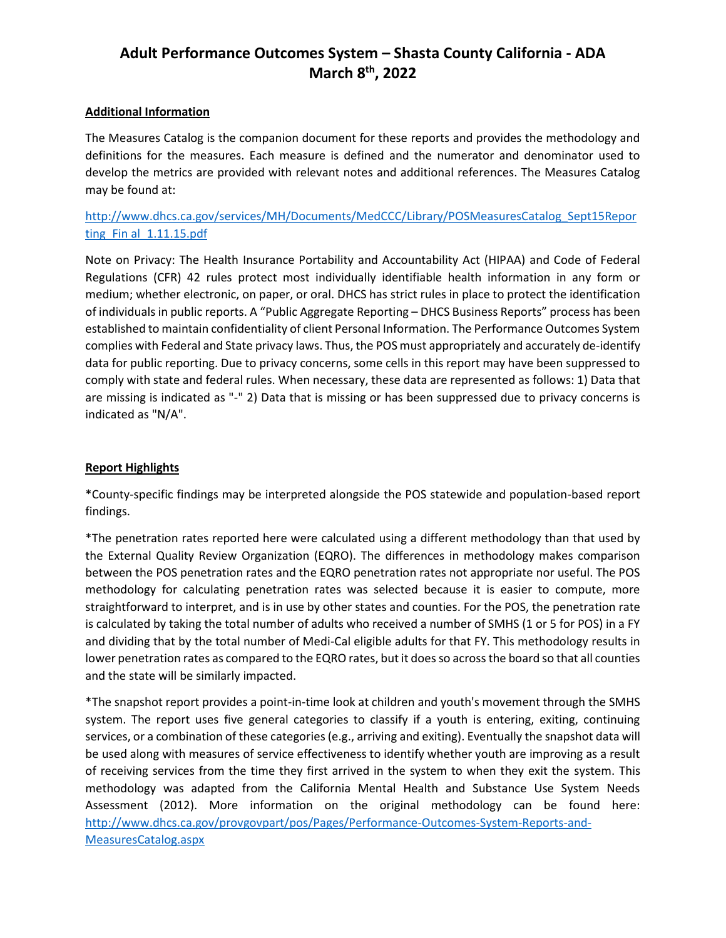### **Additional Information**

The Measures Catalog is the companion document for these reports and provides the methodology and definitions for the measures. Each measure is defined and the numerator and denominator used to develop the metrics are provided with relevant notes and additional references. The Measures Catalog may be found at:

## [http://www.dhcs.ca.gov/services/MH/Documents/MedCCC/Library/POSMeasuresCatalog\\_Sept15Repor](http://www.dhcs.ca.gov/services/MH/Documents/MedCCC/Library/POSMeasuresCatalog_Sept15Reporting_Fin%20al_1.11.15.pdf) [ting\\_Fin al\\_1.11.15.pdf](http://www.dhcs.ca.gov/services/MH/Documents/MedCCC/Library/POSMeasuresCatalog_Sept15Reporting_Fin%20al_1.11.15.pdf)

Note on Privacy: The Health Insurance Portability and Accountability Act (HIPAA) and Code of Federal Regulations (CFR) 42 rules protect most individually identifiable health information in any form or medium; whether electronic, on paper, or oral. DHCS has strict rules in place to protect the identification of individuals in public reports. A "Public Aggregate Reporting – DHCS Business Reports" process has been established to maintain confidentiality of client Personal Information. The Performance Outcomes System complies with Federal and State privacy laws. Thus, the POS must appropriately and accurately de-identify data for public reporting. Due to privacy concerns, some cells in this report may have been suppressed to comply with state and federal rules. When necessary, these data are represented as follows: 1) Data that are missing is indicated as "-" 2) Data that is missing or has been suppressed due to privacy concerns is indicated as "N/A".

### **Report Highlights**

\*County-specific findings may be interpreted alongside the POS statewide and population-based report findings.

\*The penetration rates reported here were calculated using a different methodology than that used by the External Quality Review Organization (EQRO). The differences in methodology makes comparison between the POS penetration rates and the EQRO penetration rates not appropriate nor useful. The POS methodology for calculating penetration rates was selected because it is easier to compute, more straightforward to interpret, and is in use by other states and counties. For the POS, the penetration rate is calculated by taking the total number of adults who received a number of SMHS (1 or 5 for POS) in a FY and dividing that by the total number of Medi-Cal eligible adults for that FY. This methodology results in lower penetration rates as compared to the EQRO rates, but it does so across the board so that all counties and the state will be similarly impacted.

\*The snapshot report provides a point-in-time look at children and youth's movement through the SMHS system. The report uses five general categories to classify if a youth is entering, exiting, continuing services, or a combination of these categories (e.g., arriving and exiting). Eventually the snapshot data will be used along with measures of service effectiveness to identify whether youth are improving as a result of receiving services from the time they first arrived in the system to when they exit the system. This methodology was adapted from the California Mental Health and Substance Use System Needs Assessment (2012). More information on the original methodology can be found here: [http://www.dhcs.ca.gov/provgovpart/pos/Pages/Performance-Outcomes-System-Reports-and-](http://www.dhcs.ca.gov/provgovpart/pos/Pages/Performance-Outcomes-System-Reports-and-Measures%20Catalog.aspx)[MeasuresCatalog.aspx](http://www.dhcs.ca.gov/provgovpart/pos/Pages/Performance-Outcomes-System-Reports-and-Measures%20Catalog.aspx)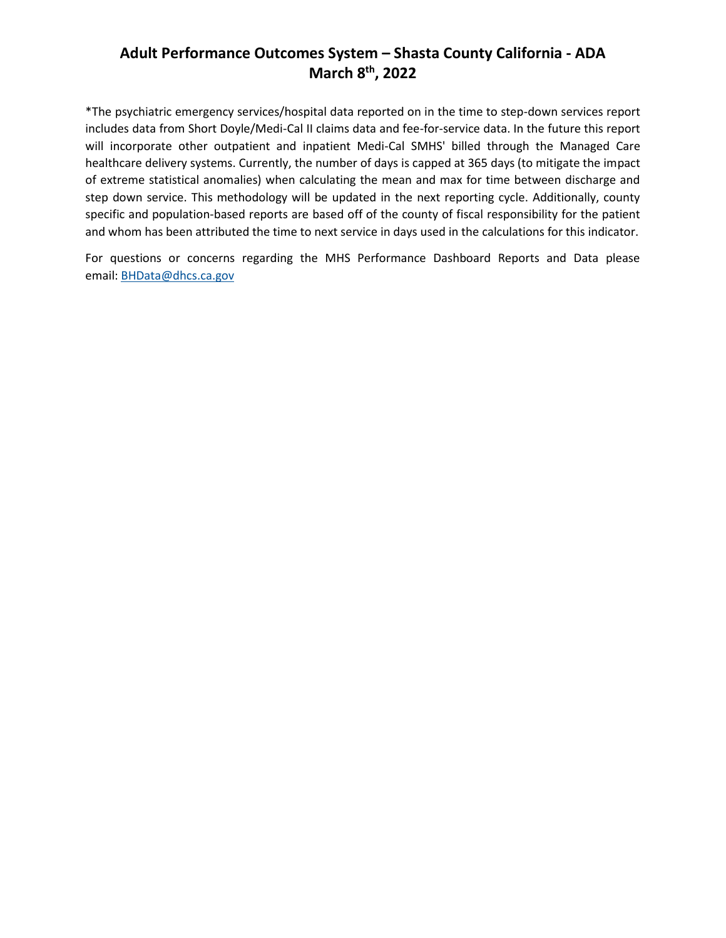\*The psychiatric emergency services/hospital data reported on in the time to step-down services report includes data from Short Doyle/Medi-Cal II claims data and fee-for-service data. In the future this report will incorporate other outpatient and inpatient Medi-Cal SMHS' billed through the Managed Care healthcare delivery systems. Currently, the number of days is capped at 365 days (to mitigate the impact of extreme statistical anomalies) when calculating the mean and max for time between discharge and step down service. This methodology will be updated in the next reporting cycle. Additionally, county specific and population-based reports are based off of the county of fiscal responsibility for the patient and whom has been attributed the time to next service in days used in the calculations for this indicator.

For questions or concerns regarding the MHS Performance Dashboard Reports and Data please email: [BHData@dhcs.ca.gov](mailto:BHData@dhcs.ca.gov)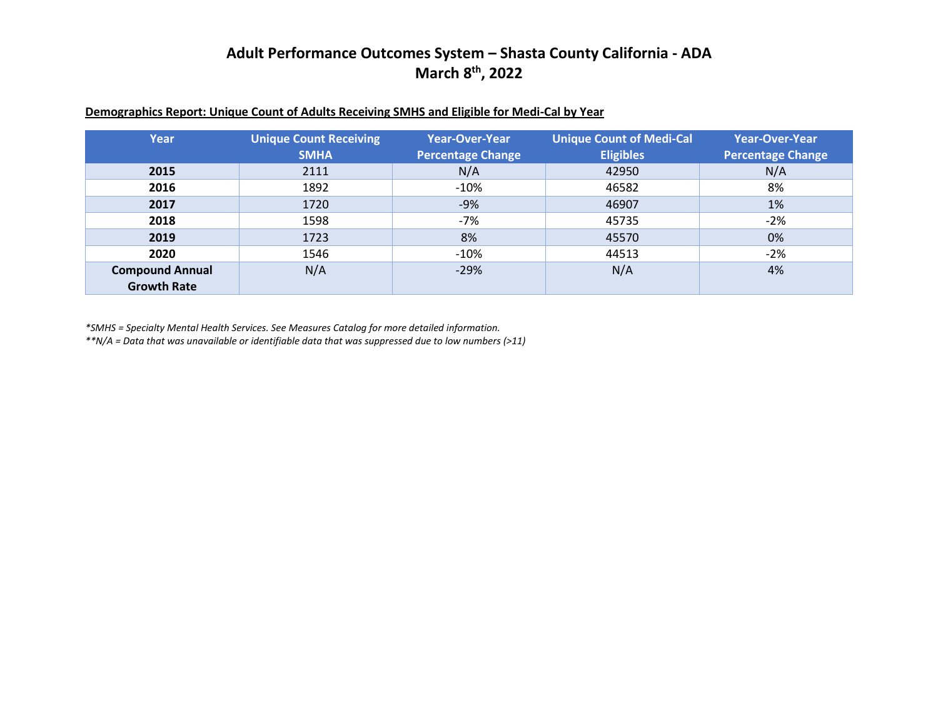| Year                   | <b>Unique Count Receiving</b><br><b>SMHA</b> | <b>Year-Over-Year</b><br><b>Percentage Change</b> | <b>Unique Count of Medi-Cal</b><br><b>Eligibles</b> | <b>Year-Over-Year</b><br><b>Percentage Change</b> |
|------------------------|----------------------------------------------|---------------------------------------------------|-----------------------------------------------------|---------------------------------------------------|
| 2015                   | 2111                                         | N/A                                               | 42950                                               | N/A                                               |
| 2016                   | 1892                                         | $-10%$                                            | 46582                                               | 8%                                                |
| 2017                   | 1720                                         | $-9%$                                             | 46907                                               | 1%                                                |
| 2018                   | 1598                                         | $-7%$                                             | 45735                                               | $-2%$                                             |
| 2019                   | 1723                                         | 8%                                                | 45570                                               | 0%                                                |
| 2020                   | 1546                                         | $-10%$                                            | 44513                                               | $-2%$                                             |
| <b>Compound Annual</b> | N/A                                          | $-29%$                                            | N/A                                                 | 4%                                                |
| <b>Growth Rate</b>     |                                              |                                                   |                                                     |                                                   |

### **Demographics Report: Unique Count of Adults Receiving SMHS and Eligible for Medi-Cal by Year**

*\*SMHS = Specialty Mental Health Services. See Measures Catalog for more detailed information.*

*\*\*N/A = Data that was unavailable or identifiable data that was suppressed due to low numbers (>11)*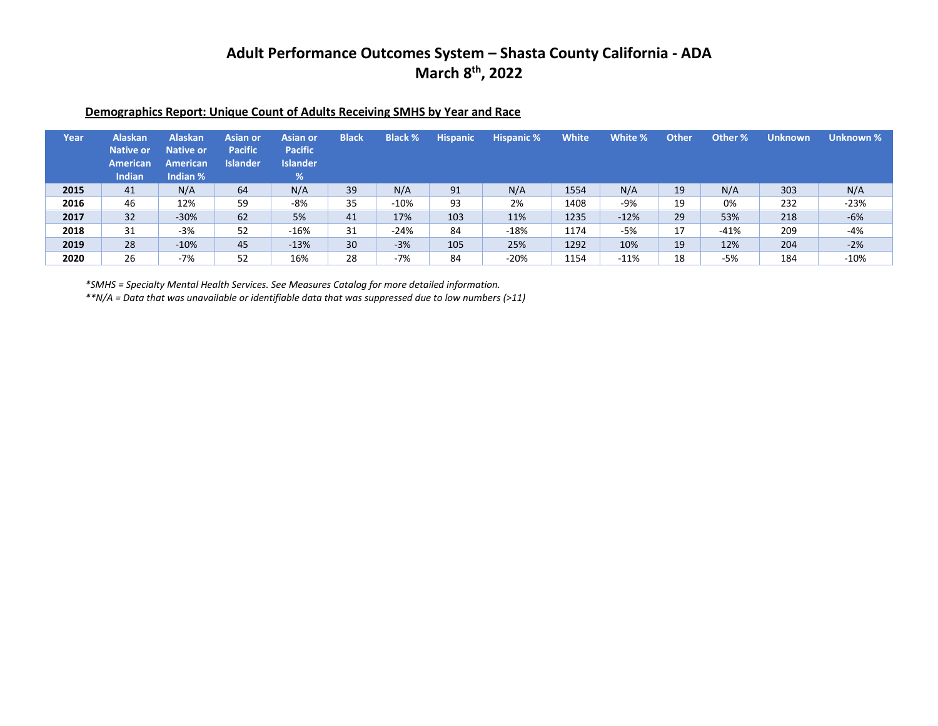#### **Demographics Report: Unique Count of Adults Receiving SMHS by Year and Race**

| Year | <b>Alaskan</b><br>Native or<br><b>American</b><br><b>Indian</b> | <b>Alaskan</b><br><b>Native or</b><br><b>American</b><br>Indian % | <b>Asian or</b><br><b>Pacific</b><br><b>Islander</b> | <b>Asian or</b><br><b>Pacific</b><br><b>Islander</b><br>% | <b>Black</b> | <b>Black %</b> | <b>Hispanic</b> | <b>Hispanic %</b> | <b>White</b> | White % | <b>Other</b> | Other % | <b>Unknown</b> | <b>Unknown %</b> |
|------|-----------------------------------------------------------------|-------------------------------------------------------------------|------------------------------------------------------|-----------------------------------------------------------|--------------|----------------|-----------------|-------------------|--------------|---------|--------------|---------|----------------|------------------|
| 2015 | 41                                                              | N/A                                                               | 64                                                   | N/A                                                       | 39           | N/A            | 91              | N/A               | 1554         | N/A     | 19           | N/A     | 303            | N/A              |
| 2016 | 46                                                              | 12%                                                               | 59                                                   | $-8%$                                                     | 35           | $-10%$         | 93              | 2%                | 1408         | $-9%$   | 19           | 0%      | 232            | $-23%$           |
| 2017 | 32                                                              | $-30%$                                                            | 62                                                   | 5%                                                        | 41           | 17%            | 103             | 11%               | 1235         | $-12%$  | 29           | 53%     | 218            | $-6%$            |
| 2018 | 31                                                              | $-3%$                                                             | 52                                                   | $-16%$                                                    | 31           | -24%           | 84              | $-18%$            | 1174         | $-5%$   | 17           | $-41%$  | 209            | $-4%$            |
| 2019 | 28                                                              | $-10%$                                                            | 45                                                   | $-13%$                                                    | 30           | $-3%$          | 105             | 25%               | 1292         | 10%     | 19           | 12%     | 204            | $-2%$            |
| 2020 | 26                                                              | $-7%$                                                             | 52                                                   | 16%                                                       | 28           | $-7%$          | 84              | $-20%$            | 1154         | $-11%$  | 18           | $-5%$   | 184            | $-10%$           |

*\*SMHS = Specialty Mental Health Services. See Measures Catalog for more detailed information.*

*\*\*N/A = Data that was unavailable or identifiable data that was suppressed due to low numbers (>11)*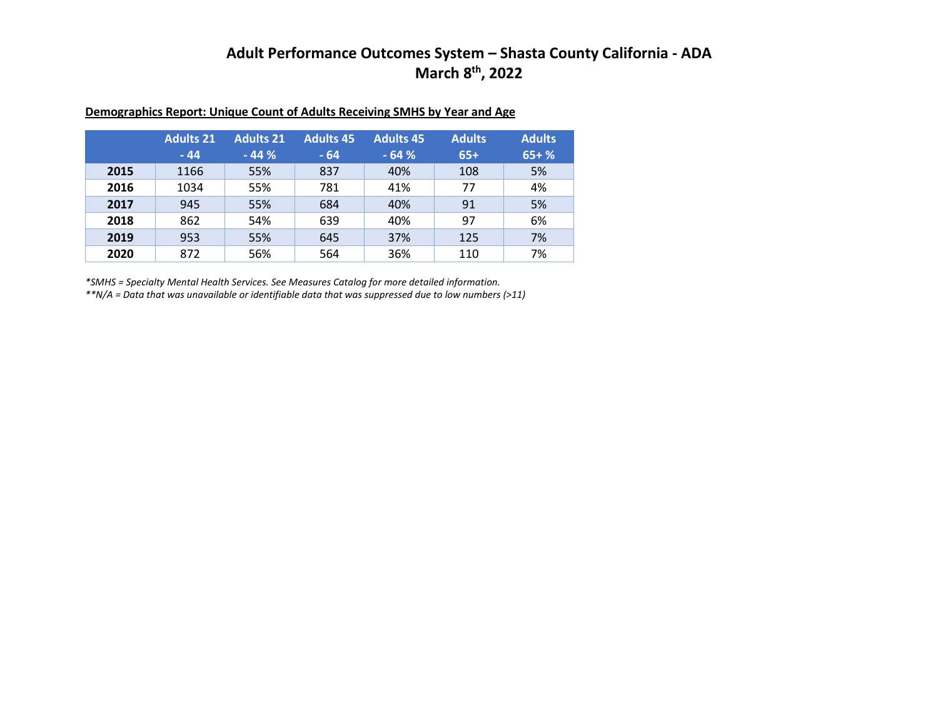|      | <b>Adults 21</b><br>$-44$ | <b>Adults 21</b><br>$-44%$ | <b>Adults 45</b><br>$-64$ | <b>Adults 45</b><br>$-64%$ | <b>Adults</b><br>$65+$ | <b>Adults</b><br>$65 + %$ |
|------|---------------------------|----------------------------|---------------------------|----------------------------|------------------------|---------------------------|
| 2015 | 1166                      | 55%                        | 837                       | 40%                        | 108                    | 5%                        |
| 2016 | 1034                      | 55%                        | 781                       | 41%                        | 77                     | 4%                        |
| 2017 | 945                       | 55%                        | 684                       | 40%                        | 91                     | 5%                        |
| 2018 | 862                       | 54%                        | 639                       | 40%                        | 97                     | 6%                        |
| 2019 | 953                       | 55%                        | 645                       | 37%                        | 125                    | 7%                        |
| 2020 | 872                       | 56%                        | 564                       | 36%                        | 110                    | 7%                        |

### **Demographics Report: Unique Count of Adults Receiving SMHS by Year and Age**

*\*SMHS = Specialty Mental Health Services. See Measures Catalog for more detailed information.*

*\*\*N/A = Data that was unavailable or identifiable data that was suppressed due to low numbers (>11)*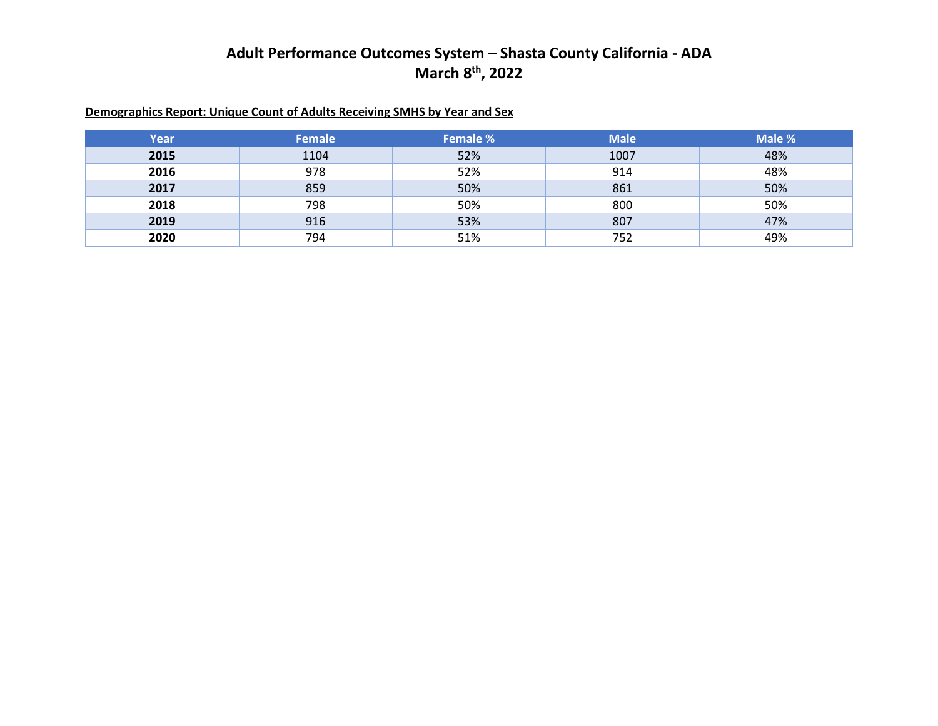## **Demographics Report: Unique Count of Adults Receiving SMHS by Year and Sex**

| Year | <b>Female</b> | <b>Female %</b> | <b>Male</b> | Male % |
|------|---------------|-----------------|-------------|--------|
| 2015 | 1104          | 52%             | 1007        | 48%    |
| 2016 | 978           | 52%             | 914         | 48%    |
| 2017 | 859           | 50%             | 861         | 50%    |
| 2018 | 798           | 50%             | 800         | 50%    |
| 2019 | 916           | 53%             | 807         | 47%    |
| 2020 | 794           | 51%             | 752         | 49%    |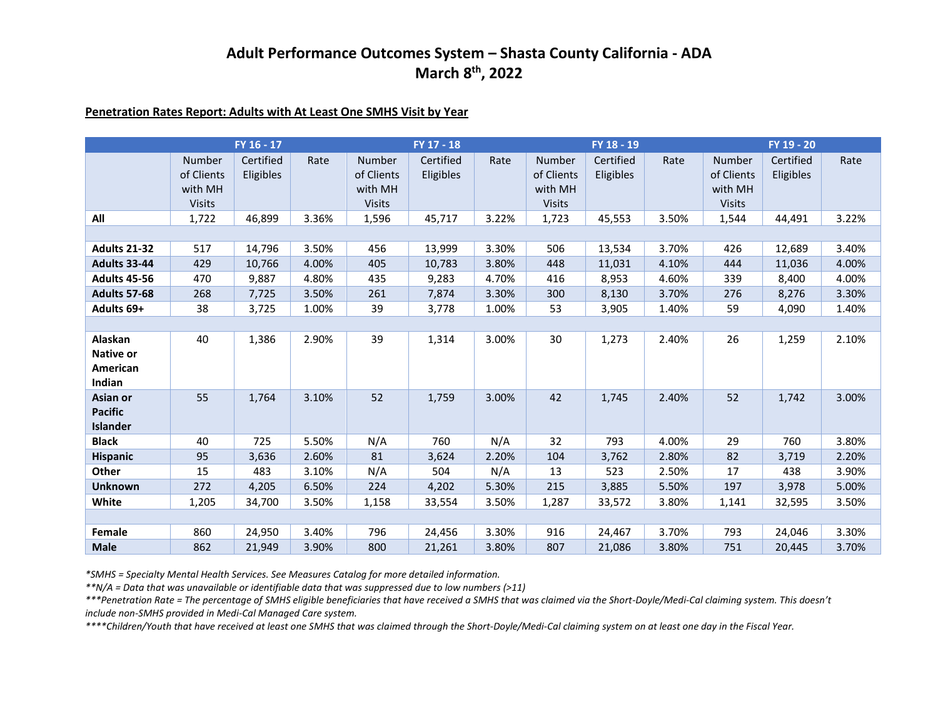#### **Penetration Rates Report: Adults with At Least One SMHS Visit by Year**

|                                                   |                                                         | FY 16 - 17             |       |                                                         | FY 17 - 18             |       |                                                         | FY 18 - 19             |       |                                                         | FY 19 - 20             |       |
|---------------------------------------------------|---------------------------------------------------------|------------------------|-------|---------------------------------------------------------|------------------------|-------|---------------------------------------------------------|------------------------|-------|---------------------------------------------------------|------------------------|-------|
|                                                   | <b>Number</b><br>of Clients<br>with MH<br><b>Visits</b> | Certified<br>Eligibles | Rate  | <b>Number</b><br>of Clients<br>with MH<br><b>Visits</b> | Certified<br>Eligibles | Rate  | <b>Number</b><br>of Clients<br>with MH<br><b>Visits</b> | Certified<br>Eligibles | Rate  | <b>Number</b><br>of Clients<br>with MH<br><b>Visits</b> | Certified<br>Eligibles | Rate  |
| All                                               | 1,722                                                   | 46,899                 | 3.36% | 1,596                                                   | 45,717                 | 3.22% | 1,723                                                   | 45,553                 | 3.50% | 1,544                                                   | 44,491                 | 3.22% |
|                                                   |                                                         |                        |       |                                                         |                        |       |                                                         |                        |       |                                                         |                        |       |
| <b>Adults 21-32</b>                               | 517                                                     | 14,796                 | 3.50% | 456                                                     | 13,999                 | 3.30% | 506                                                     | 13,534                 | 3.70% | 426                                                     | 12,689                 | 3.40% |
| <b>Adults 33-44</b>                               | 429                                                     | 10,766                 | 4.00% | 405                                                     | 10,783                 | 3.80% | 448                                                     | 11,031                 | 4.10% | 444                                                     | 11,036                 | 4.00% |
| <b>Adults 45-56</b>                               | 470                                                     | 9,887                  | 4.80% | 435                                                     | 9,283                  | 4.70% | 416                                                     | 8,953                  | 4.60% | 339                                                     | 8,400                  | 4.00% |
| <b>Adults 57-68</b>                               | 268                                                     | 7,725                  | 3.50% | 261                                                     | 7,874                  | 3.30% | 300                                                     | 8,130                  | 3.70% | 276                                                     | 8,276                  | 3.30% |
| Adults 69+                                        | 38                                                      | 3,725                  | 1.00% | 39                                                      | 3,778                  | 1.00% | 53                                                      | 3,905                  | 1.40% | 59                                                      | 4,090                  | 1.40% |
|                                                   |                                                         |                        |       |                                                         |                        |       |                                                         |                        |       |                                                         |                        |       |
| Alaskan<br><b>Native or</b><br>American<br>Indian | 40                                                      | 1,386                  | 2.90% | 39                                                      | 1,314                  | 3.00% | 30                                                      | 1,273                  | 2.40% | 26                                                      | 1,259                  | 2.10% |
| Asian or<br><b>Pacific</b><br><b>Islander</b>     | 55                                                      | 1,764                  | 3.10% | 52                                                      | 1,759                  | 3.00% | 42                                                      | 1,745                  | 2.40% | 52                                                      | 1,742                  | 3.00% |
| <b>Black</b>                                      | 40                                                      | 725                    | 5.50% | N/A                                                     | 760                    | N/A   | 32                                                      | 793                    | 4.00% | 29                                                      | 760                    | 3.80% |
| <b>Hispanic</b>                                   | 95                                                      | 3,636                  | 2.60% | 81                                                      | 3,624                  | 2.20% | 104                                                     | 3,762                  | 2.80% | 82                                                      | 3,719                  | 2.20% |
| <b>Other</b>                                      | 15                                                      | 483                    | 3.10% | N/A                                                     | 504                    | N/A   | 13                                                      | 523                    | 2.50% | 17                                                      | 438                    | 3.90% |
| <b>Unknown</b>                                    | 272                                                     | 4,205                  | 6.50% | 224                                                     | 4,202                  | 5.30% | 215                                                     | 3,885                  | 5.50% | 197                                                     | 3,978                  | 5.00% |
| White                                             | 1,205                                                   | 34,700                 | 3.50% | 1,158                                                   | 33,554                 | 3.50% | 1,287                                                   | 33,572                 | 3.80% | 1,141                                                   | 32,595                 | 3.50% |
|                                                   |                                                         |                        |       |                                                         |                        |       |                                                         |                        |       |                                                         |                        |       |
| Female                                            | 860                                                     | 24,950                 | 3.40% | 796                                                     | 24,456                 | 3.30% | 916                                                     | 24,467                 | 3.70% | 793                                                     | 24,046                 | 3.30% |
| <b>Male</b>                                       | 862                                                     | 21,949                 | 3.90% | 800                                                     | 21,261                 | 3.80% | 807                                                     | 21,086                 | 3.80% | 751                                                     | 20,445                 | 3.70% |

*\*SMHS = Specialty Mental Health Services. See Measures Catalog for more detailed information.*

*\*\*N/A = Data that was unavailable or identifiable data that was suppressed due to low numbers (>11)*

*\*\*\*Penetration Rate = The percentage of SMHS eligible beneficiaries that have received a SMHS that was claimed via the Short-Doyle/Medi-Cal claiming system. This doesn't include non-SMHS provided in Medi-Cal Managed Care system.*

*\*\*\*\*Children/Youth that have received at least one SMHS that was claimed through the Short-Doyle/Medi-Cal claiming system on at least one day in the Fiscal Year.*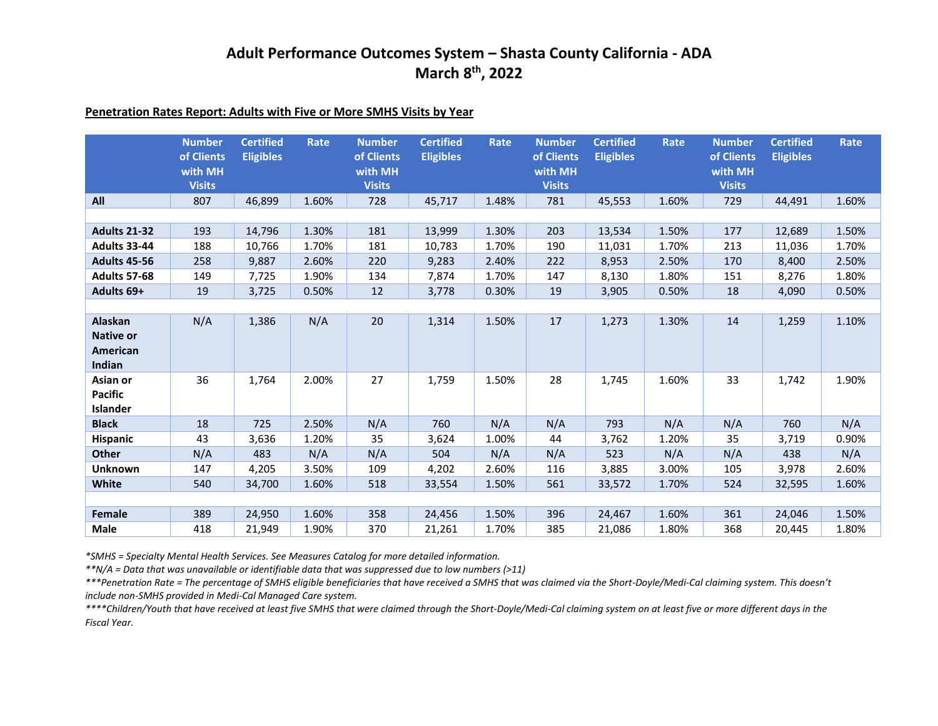#### **Penetration Rates Report: Adults with Five or More SMHS Visits by Year**

|                                                          | <b>Number</b><br>of Clients<br>with MH<br><b>Visits</b> | <b>Certified</b><br><b>Eligibles</b> | Rate  | <b>Number</b><br>of Clients<br>with MH<br><b>Visits</b> | <b>Certified</b><br><b>Eligibles</b> | Rate  | <b>Number</b><br>of Clients<br>with MH<br><b>Visits</b> | <b>Certified</b><br><b>Eligibles</b> | Rate  | <b>Number</b><br>of Clients<br>with MH<br><b>Visits</b> | <b>Certified</b><br><b>Eligibles</b> | Rate  |
|----------------------------------------------------------|---------------------------------------------------------|--------------------------------------|-------|---------------------------------------------------------|--------------------------------------|-------|---------------------------------------------------------|--------------------------------------|-------|---------------------------------------------------------|--------------------------------------|-------|
| All                                                      | 807                                                     | 46,899                               | 1.60% | 728                                                     | 45,717                               | 1.48% | 781                                                     | 45,553                               | 1.60% | 729                                                     | 44,491                               | 1.60% |
|                                                          |                                                         |                                      |       |                                                         |                                      |       |                                                         |                                      |       |                                                         |                                      |       |
| <b>Adults 21-32</b>                                      | 193                                                     | 14,796                               | 1.30% | 181                                                     | 13,999                               | 1.30% | 203                                                     | 13,534                               | 1.50% | 177                                                     | 12,689                               | 1.50% |
| <b>Adults 33-44</b>                                      | 188                                                     | 10,766                               | 1.70% | 181                                                     | 10,783                               | 1.70% | 190                                                     | 11,031                               | 1.70% | 213                                                     | 11,036                               | 1.70% |
| <b>Adults 45-56</b>                                      | 258                                                     | 9,887                                | 2.60% | 220                                                     | 9,283                                | 2.40% | 222                                                     | 8,953                                | 2.50% | 170                                                     | 8,400                                | 2.50% |
| <b>Adults 57-68</b>                                      | 149                                                     | 7,725                                | 1.90% | 134                                                     | 7,874                                | 1.70% | 147                                                     | 8,130                                | 1.80% | 151                                                     | 8,276                                | 1.80% |
| Adults 69+                                               | 19                                                      | 3,725                                | 0.50% | 12                                                      | 3,778                                | 0.30% | 19                                                      | 3,905                                | 0.50% | 18                                                      | 4,090                                | 0.50% |
|                                                          |                                                         |                                      |       |                                                         |                                      |       |                                                         |                                      |       |                                                         |                                      |       |
| Alaskan<br><b>Native or</b><br><b>American</b><br>Indian | N/A                                                     | 1,386                                | N/A   | 20                                                      | 1,314                                | 1.50% | 17                                                      | 1,273                                | 1.30% | 14                                                      | 1,259                                | 1.10% |
| Asian or<br><b>Pacific</b><br><b>Islander</b>            | 36                                                      | 1,764                                | 2.00% | 27                                                      | 1,759                                | 1.50% | 28                                                      | 1,745                                | 1.60% | 33                                                      | 1,742                                | 1.90% |
| <b>Black</b>                                             | 18                                                      | 725                                  | 2.50% | N/A                                                     | 760                                  | N/A   | N/A                                                     | 793                                  | N/A   | N/A                                                     | 760                                  | N/A   |
| <b>Hispanic</b>                                          | 43                                                      | 3,636                                | 1.20% | 35                                                      | 3,624                                | 1.00% | 44                                                      | 3,762                                | 1.20% | 35                                                      | 3,719                                | 0.90% |
| <b>Other</b>                                             | N/A                                                     | 483                                  | N/A   | N/A                                                     | 504                                  | N/A   | N/A                                                     | 523                                  | N/A   | N/A                                                     | 438                                  | N/A   |
| <b>Unknown</b>                                           | 147                                                     | 4,205                                | 3.50% | 109                                                     | 4,202                                | 2.60% | 116                                                     | 3,885                                | 3.00% | 105                                                     | 3,978                                | 2.60% |
| White                                                    | 540                                                     | 34,700                               | 1.60% | 518                                                     | 33,554                               | 1.50% | 561                                                     | 33,572                               | 1.70% | 524                                                     | 32,595                               | 1.60% |
|                                                          |                                                         |                                      |       |                                                         |                                      |       |                                                         |                                      |       |                                                         |                                      |       |
| <b>Female</b>                                            | 389                                                     | 24,950                               | 1.60% | 358                                                     | 24,456                               | 1.50% | 396                                                     | 24,467                               | 1.60% | 361                                                     | 24,046                               | 1.50% |
| <b>Male</b>                                              | 418                                                     | 21,949                               | 1.90% | 370                                                     | 21,261                               | 1.70% | 385                                                     | 21,086                               | 1.80% | 368                                                     | 20,445                               | 1.80% |

*\*SMHS = Specialty Mental Health Services. See Measures Catalog for more detailed information.*

*\*\*N/A = Data that was unavailable or identifiable data that was suppressed due to low numbers (>11)*

*\*\*\*Penetration Rate = The percentage of SMHS eligible beneficiaries that have received a SMHS that was claimed via the Short-Doyle/Medi-Cal claiming system. This doesn't include non-SMHS provided in Medi-Cal Managed Care system.*

*\*\*\*\*Children/Youth that have received at least five SMHS that were claimed through the Short-Doyle/Medi-Cal claiming system on at least five or more different days in the Fiscal Year.*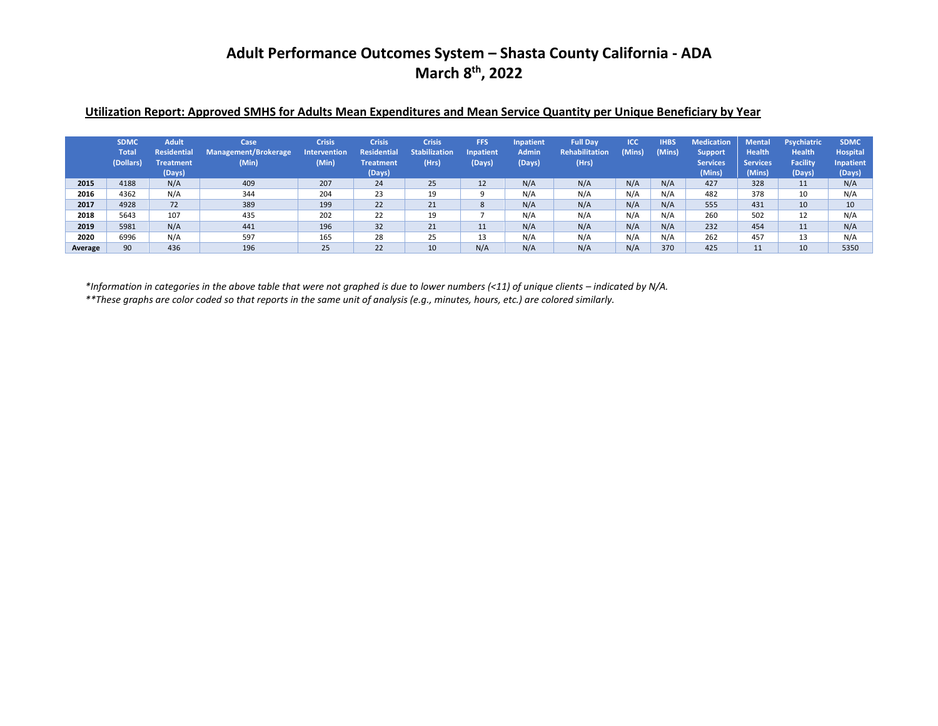### **Utilization Report: Approved SMHS for Adults Mean Expenditures and Mean Service Quantity per Unique Beneficiary by Year**

|         | <b>SDMC</b><br><b>Total</b><br>(Dollars) | <b>Adult</b><br><b>Residential</b><br><b>Treatment</b><br>(Days) | Case<br>Management/Brokerage<br>(Min) | <b>Crisis</b><br><b>Intervention</b><br>(Min) | <b>Crisis</b><br><b>Residential</b><br><b>Treatment</b><br>(Days) | <b>Crisis</b><br><b>Stabilization</b><br>(Hrs) | <b>FFS</b><br>Inpatient<br>(Days) | Inpatient<br><b>Admin</b><br>(Days) | <b>Full Day</b><br><b>Rehabilitation</b><br>(Hrs) | ICC<br>(Mins) | <b>IHBS</b><br>(Mins) | <b>Medication</b><br><b>Support</b><br><b>Services</b><br>(Mins) | <b>Mental</b><br><b>Health</b><br><b>Services</b><br>(Mins) | Psychiatric<br><b>Health</b><br><b>Facility</b><br>(Days) | <b>SDMC</b><br><b>Hospital</b><br>Inpatient<br>(Days) |
|---------|------------------------------------------|------------------------------------------------------------------|---------------------------------------|-----------------------------------------------|-------------------------------------------------------------------|------------------------------------------------|-----------------------------------|-------------------------------------|---------------------------------------------------|---------------|-----------------------|------------------------------------------------------------------|-------------------------------------------------------------|-----------------------------------------------------------|-------------------------------------------------------|
| 2015    | 4188                                     | N/A                                                              | 409                                   | 207                                           | 24                                                                | 25                                             | 12                                | N/A                                 | N/A                                               | N/A           | N/A                   | 427                                                              | 328                                                         | 11                                                        | N/A                                                   |
| 2016    | 4362                                     | N/A                                                              | 344                                   | 204                                           | 23                                                                | 19                                             | $\Omega$                          | N/A                                 | N/A                                               | N/A           | N/A                   | 482                                                              | 378                                                         | 10                                                        | N/A                                                   |
| 2017    | 4928                                     | 72                                                               | 389                                   | 199                                           | 22                                                                | 21                                             | 8                                 | N/A                                 | N/A                                               | N/A           | N/A                   | 555                                                              | 431                                                         | 10                                                        | 10                                                    |
| 2018    | 5643                                     | 107                                                              | 435                                   | 202                                           | 22                                                                | 19                                             |                                   | N/A                                 | N/A                                               | N/A           | N/A                   | 260                                                              | 502                                                         | 12                                                        | N/A                                                   |
| 2019    | 5981                                     | N/A                                                              | 441                                   | 196                                           | 32                                                                | 21                                             |                                   | N/A                                 | N/A                                               | N/A           | N/A                   | 232                                                              | 454                                                         | 11                                                        | N/A                                                   |
| 2020    | 6996                                     | N/A                                                              | 597                                   | 165                                           | 28                                                                | 25                                             | 13                                | N/A                                 | N/A                                               | N/A           | N/A                   | 262                                                              | 457                                                         | 13                                                        | N/A                                                   |
| Average | 90                                       | 436                                                              | 196                                   | 25                                            | 22                                                                | 10                                             | N/A                               | N/A                                 | N/A                                               | N/A           | 370                   | 425                                                              | 11                                                          | 10                                                        | 5350                                                  |

*\*Information in categories in the above table that were not graphed is due to lower numbers (<11) of unique clients – indicated by N/A. \*\*These graphs are color coded so that reports in the same unit of analysis (e.g., minutes, hours, etc.) are colored similarly.*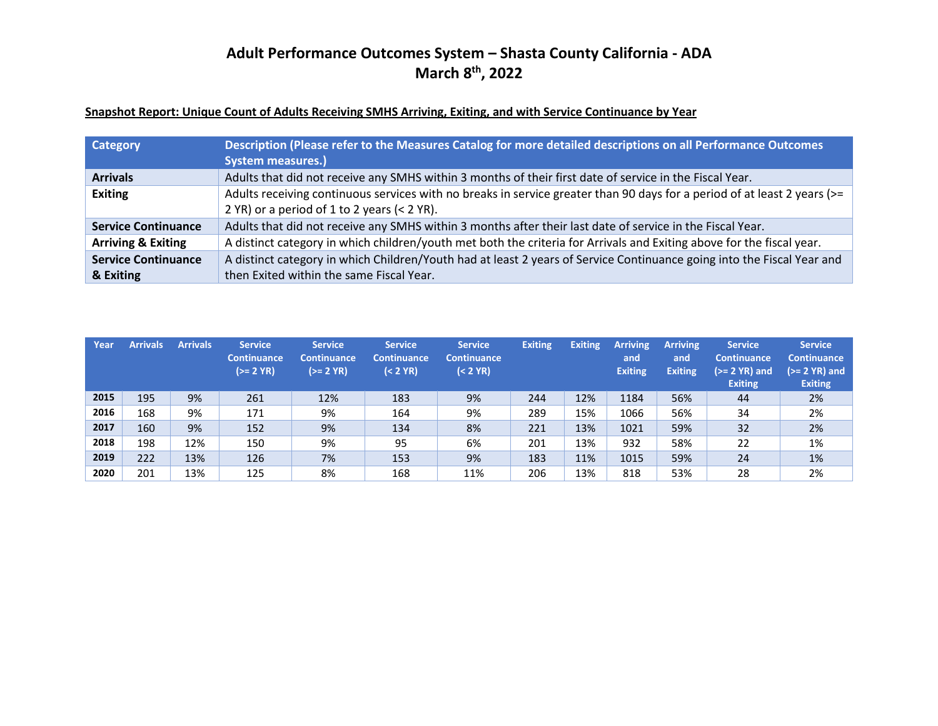## **Snapshot Report: Unique Count of Adults Receiving SMHS Arriving, Exiting, and with Service Continuance by Year**

| <b>Category</b>               | Description (Please refer to the Measures Catalog for more detailed descriptions on all Performance Outcomes             |
|-------------------------------|--------------------------------------------------------------------------------------------------------------------------|
|                               | <b>System measures.)</b>                                                                                                 |
| <b>Arrivals</b>               | Adults that did not receive any SMHS within 3 months of their first date of service in the Fiscal Year.                  |
| <b>Exiting</b>                | Adults receiving continuous services with no breaks in service greater than 90 days for a period of at least 2 years (>= |
|                               | 2 YR) or a period of 1 to 2 years (< 2 YR).                                                                              |
| <b>Service Continuance</b>    | Adults that did not receive any SMHS within 3 months after their last date of service in the Fiscal Year.                |
| <b>Arriving &amp; Exiting</b> | A distinct category in which children/youth met both the criteria for Arrivals and Exiting above for the fiscal year.    |
| <b>Service Continuance</b>    | A distinct category in which Children/Youth had at least 2 years of Service Continuance going into the Fiscal Year and   |
| & Exiting                     | then Exited within the same Fiscal Year.                                                                                 |

| Year | <b>Arrivals</b> | <b>Arrivals</b> | <b>Service</b><br><b>Continuance</b><br>$(>= 2 YR)$ | <b>Service</b><br><b>Continuance</b><br>$(>= 2 YR)$ | <b>Service</b><br><b>Continuance</b><br>$(2 YR)$ | <b>Service</b><br><b>Continuance</b><br>(< 2 YR) | <b>Exiting</b> | <b>Exiting</b> | <b>Arriving</b><br>and<br><b>Exiting</b> | <b>Arriving</b><br>and<br><b>Exiting</b> | <b>Service</b><br><b>Continuance</b><br>$(>= 2 YR)$ and<br><b>Exiting</b> | <b>Service</b><br><b>Continuance</b><br>(>= 2 YR) and<br><b>Exiting</b> |
|------|-----------------|-----------------|-----------------------------------------------------|-----------------------------------------------------|--------------------------------------------------|--------------------------------------------------|----------------|----------------|------------------------------------------|------------------------------------------|---------------------------------------------------------------------------|-------------------------------------------------------------------------|
| 2015 | 195             | 9%              | 261                                                 | 12%                                                 | 183                                              | 9%                                               | 244            | 12%            | 1184                                     | 56%                                      | 44                                                                        | 2%                                                                      |
| 2016 | 168             | 9%              | 171                                                 | 9%                                                  | 164                                              | 9%                                               | 289            | 15%            | 1066                                     | 56%                                      | 34                                                                        | 2%                                                                      |
| 2017 | 160             | 9%              | 152                                                 | 9%                                                  | 134                                              | 8%                                               | 221            | 13%            | 1021                                     | 59%                                      | 32                                                                        | 2%                                                                      |
| 2018 | 198             | 12%             | 150                                                 | 9%                                                  | 95                                               | 6%                                               | 201            | 13%            | 932                                      | 58%                                      | 22                                                                        | 1%                                                                      |
| 2019 | 222             | 13%             | 126                                                 | 7%                                                  | 153                                              | 9%                                               | 183            | 11%            | 1015                                     | 59%                                      | 24                                                                        | 1%                                                                      |
| 2020 | 201             | 13%             | 125                                                 | 8%                                                  | 168                                              | 11%                                              | 206            | 13%            | 818                                      | 53%                                      | 28                                                                        | 2%                                                                      |